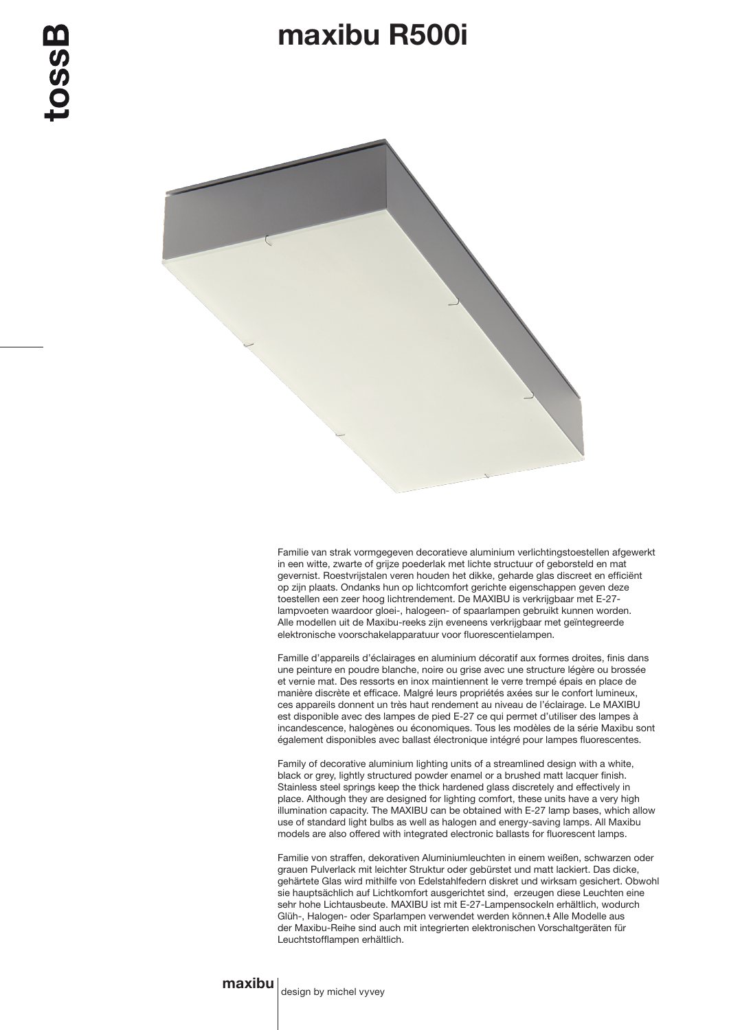## maxibu R500i



Familie van strak vormgegeven decoratieve aluminium verlichtingstoestellen afgewerkt in een witte, zwarte of grijze poederlak met lichte structuur of geborsteld en mat gevernist. Roestvrijstalen veren houden het dikke, geharde glas discreet en efficiënt op zijn plaats. Ondanks hun op lichtcomfort gerichte eigenschappen geven deze toestellen een zeer hoog lichtrendement. De MAXIBU is verkrijgbaar met E-27 lampvoeten waardoor gloei-, halogeen- of spaarlampen gebruikt kunnen worden. Alle modellen uit de Maxibu-reeks zijn eveneens verkrijgbaar met geïntegreerde elektronische voorschakelapparatuur voor fluorescentielampen.

Famille d'appareils d'éclairages en aluminium décoratif aux formes droites, finis dans une peinture en poudre blanche, noire ou grise avec une structure légère ou brossée et vernie mat. Des ressorts en inox maintiennent le verre trempé épais en place de manière discrète et efficace. Malgré leurs propriétés axées sur le confort lumineux, ces appareils donnent un très haut rendement au niveau de l'éclairage. Le MAXIBU est disponible avec des lampes de pied E-27 ce qui permet d'utiliser des lampes à incandescence, halogènes ou économiques. Tous les modèles de la série Maxibu sont également disponibles avec ballast électronique intégré pour lampes fluorescentes.

Family of decorative aluminium lighting units of a streamlined design with a white, black or grey, lightly structured powder enamel or a brushed matt lacquer finish. Stainless steel springs keep the thick hardened glass discretely and effectively in place. Although they are designed for lighting comfort, these units have a very high illumination capacity. The MAXIBU can be obtained with E-27 lamp bases, which allow use of standard light bulbs as well as halogen and energy-saving lamps. All Maxibu models are also offered with integrated electronic ballasts for fluorescent lamps.

Familie von straffen, dekorativen Aluminiumleuchten in einem weißen, schwarzen oder grauen Pulverlack mit leichter Struktur oder gebürstet und matt lackiert. Das dicke, gehärtete Glas wird mithilfe von Edelstahlfedern diskret und wirksam gesichert. Obwohl sie hauptsächlich auf Lichtkomfort ausgerichtet sind, erzeugen diese Leuchten eine sehr hohe Lichtausbeute. MAXIBU ist mit E-27-Lampensockeln erhältlich, wodurch Glüh-, Halogen- oder Sparlampen verwendet werden können.t Alle Modelle aus der Maxibu-Reihe sind auch mit integrierten elektronischen Vorschaltgeräten für Leuchtstofflampen erhältlich.